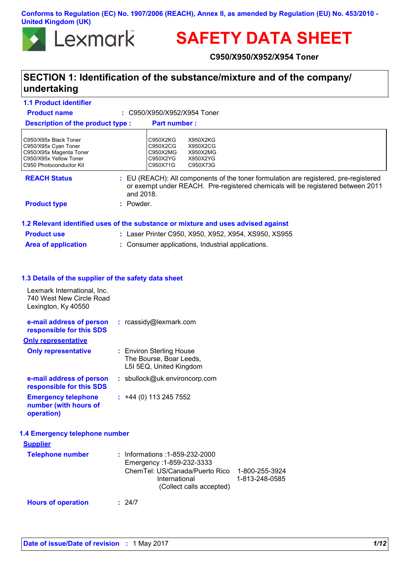**Conforms to Regulation (EC) No. 1907/2006 (REACH), Annex II, as amended by Regulation (EU) No. 453/2010 - United Kingdom (UK)**



# **SAFETY DATA SHEET**

**C950/X950/X952/X954 Toner**

# **SECTION 1: Identification of the substance/mixture and of the company/ undertaking**

| <b>1.1 Product identifier</b>                                                                                                 |                                                                                                                                                                                      |
|-------------------------------------------------------------------------------------------------------------------------------|--------------------------------------------------------------------------------------------------------------------------------------------------------------------------------------|
| <b>Product name</b>                                                                                                           | : C950/X950/X952/X954 Toner                                                                                                                                                          |
| <b>Description of the product type:</b>                                                                                       | <b>Part number:</b>                                                                                                                                                                  |
| C950/X95x Black Toner<br>C950/X95x Cyan Toner<br>C950/X95x Magenta Toner<br>C950/X95x Yellow Toner<br>C950 Photoconductor Kit | C950X2KG<br>X950X2KG<br>C950X2CG<br>X950X2CG<br>C950X2MG<br>X950X2MG<br>C950X2YG<br>X950X2YG<br>C950X71G<br>C950X73G                                                                 |
| <b>REACH Status</b>                                                                                                           | : EU (REACH): All components of the toner formulation are registered, pre-registered<br>or exempt under REACH. Pre-registered chemicals will be registered between 2011<br>and 2018. |
| <b>Product type</b>                                                                                                           | : Powder.                                                                                                                                                                            |
|                                                                                                                               | 1.2 Relevant identified uses of the substance or mixture and uses advised against                                                                                                    |
| <b>Product use</b>                                                                                                            | : Laser Printer C950, X950, X952, X954, XS950, XS955                                                                                                                                 |
| <b>Area of application</b>                                                                                                    | : Consumer applications, Industrial applications.                                                                                                                                    |
| 1.3 Details of the supplier of the safety data sheet                                                                          |                                                                                                                                                                                      |
| Lexmark International, Inc.<br>740 West New Circle Road<br>Lexington, Ky 40550                                                |                                                                                                                                                                                      |
| e-mail address of person<br>responsible for this SDS                                                                          | : rcassidy@lexmark.com                                                                                                                                                               |
| <b>Only representative</b>                                                                                                    |                                                                                                                                                                                      |
| <b>Only representative</b>                                                                                                    | : Environ Sterling House<br>The Bourse, Boar Leeds,<br>L5I 5EQ, United Kingdom                                                                                                       |
| e-mail address of person<br>responsible for this SDS                                                                          | : sbullock@uk.environcorp.com                                                                                                                                                        |
| <b>Emergency telephone</b><br>number (with hours of<br>operation)                                                             | $: +44(0)$ 113 245 7552                                                                                                                                                              |
| 1.4 Emergency telephone number                                                                                                |                                                                                                                                                                                      |
| <b>Supplier</b>                                                                                                               |                                                                                                                                                                                      |
| <b>Telephone number</b>                                                                                                       | Informations: 1-859-232-2000<br>Emergency: 1-859-232-3333<br>ChemTel: US/Canada/Puerto Rico<br>1-800-255-3924<br>International<br>1-813-248-0585<br>(Collect calls accepted)         |
| <b>Hours of operation</b>                                                                                                     | : 24/7                                                                                                                                                                               |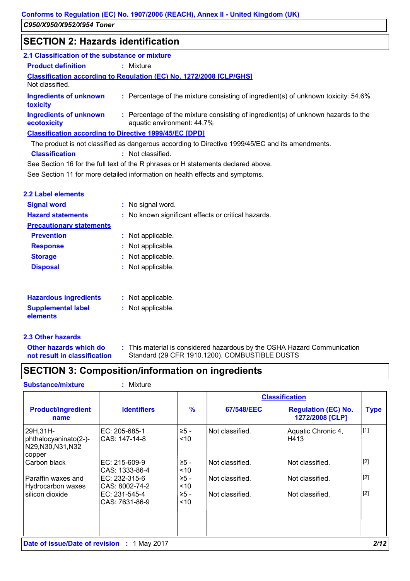# **SECTION 2: Hazards identification**

| 2.1 Classification of the substance or mixture                |                                                                                                                 |  |
|---------------------------------------------------------------|-----------------------------------------------------------------------------------------------------------------|--|
| <b>Product definition</b>                                     | : Mixture                                                                                                       |  |
| Not classified.                                               | <b>Classification according to Regulation (EC) No. 1272/2008 [CLP/GHS]</b>                                      |  |
| <b>Ingredients of unknown</b><br>toxicity                     | : Percentage of the mixture consisting of ingredient(s) of unknown toxicity: 54.6%                              |  |
| <b>Ingredients of unknown</b><br>ecotoxicity                  | : Percentage of the mixture consisting of ingredient(s) of unknown hazards to the<br>aquatic environment: 44.7% |  |
| <b>Classification according to Directive 1999/45/EC [DPD]</b> |                                                                                                                 |  |
|                                                               | The product is not classified as dangerous according to Directive 1999/45/EC and its amendments.                |  |
|                                                               |                                                                                                                 |  |

**Classification :** Not classified.

See Section 16 for the full text of the R phrases or H statements declared above.

See Section 11 for more detailed information on health effects and symptoms.

| 2.2 Label elements              |                                                     |
|---------------------------------|-----------------------------------------------------|
| <b>Signal word</b>              | : No signal word.                                   |
| <b>Hazard statements</b>        | : No known significant effects or critical hazards. |
| <b>Precautionary statements</b> |                                                     |
| <b>Prevention</b>               | : Not applicable.                                   |
| <b>Response</b>                 | : Not applicable.                                   |
| <b>Storage</b>                  | : Not applicable.                                   |
| <b>Disposal</b>                 | : Not applicable.                                   |
|                                 |                                                     |
|                                 |                                                     |
| <b>Hazardous ingredients</b>    | : Not applicable.                                   |

| <b>Hazardous ingredients</b> | : inot applicable. |
|------------------------------|--------------------|
| <b>Supplemental label</b>    | : Not applicable.  |
| elements                     |                    |

### **2.3 Other hazards**

**Other hazards which do : not result in classification** This material is considered hazardous by the OSHA Hazard Communication Standard (29 CFR 1910.1200). COMBUSTIBLE DUSTS

# **SECTION 3: Composition/information on ingredients**

**Substance/mixture :** Mixture

|                                                                    |                                  |                   | <b>Classification</b> |                                               |             |
|--------------------------------------------------------------------|----------------------------------|-------------------|-----------------------|-----------------------------------------------|-------------|
| <b>Product/ingredient</b><br>name                                  | <b>Identifiers</b>               | $\frac{9}{6}$     | 67/548/EEC            | <b>Regulation (EC) No.</b><br>1272/2008 [CLP] | <b>Type</b> |
| 29H, 31H-<br>phthalocyaninato(2-)-<br>N29, N30, N31, N32<br>copper | IEC: 205-685-1<br>ICAS: 147-14-8 | .≥5 -<br>$<$ 10   | Not classified.       | Aquatic Chronic 4,<br>H413                    | $[1]$       |
| Carbon black                                                       | EC: 215-609-9<br>CAS: 1333-86-4  | ≥5 -<br>$<$ 10    | Not classified.       | Not classified.                               | $[2]$       |
| Paraffin waxes and<br>Hydrocarbon waxes                            | EC: 232-315-6<br>ICAS: 8002-74-2 | $\geq 5 -$<br>~10 | Not classified.       | Not classified.                               | $[2]$       |
| silicon dioxide                                                    | IEC: 231-545-4<br>CAS: 7631-86-9 | ≥5 -<br>$<$ 10    | Not classified.       | Not classified.                               | $[2]$       |
| <b>Date of issue/Date of revision : 1 May 2017</b>                 |                                  |                   |                       |                                               | 2/12        |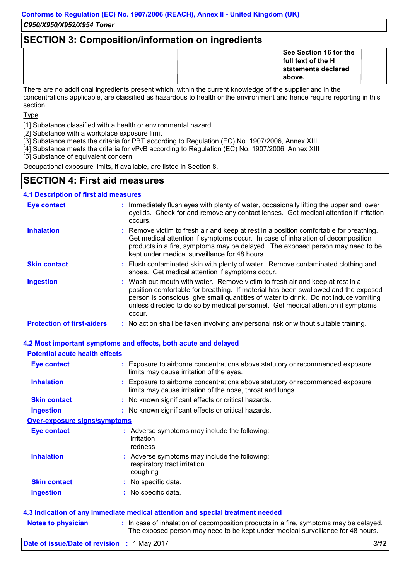#### *C950/X950/X952/X954 Toner*

### **SECTION 3: Composition/information on ingredients**

| See Section 16 for the<br>full text of the H<br>statements declared<br>l above. |  |
|---------------------------------------------------------------------------------|--|
|---------------------------------------------------------------------------------|--|

There are no additional ingredients present which, within the current knowledge of the supplier and in the concentrations applicable, are classified as hazardous to health or the environment and hence require reporting in this section.

Type

[1] Substance classified with a health or environmental hazard

[2] Substance with a workplace exposure limit

[3] Substance meets the criteria for PBT according to Regulation (EC) No. 1907/2006, Annex XIII

[4] Substance meets the criteria for vPvB according to Regulation (EC) No. 1907/2006, Annex XIII

[5] Substance of equivalent concern

Occupational exposure limits, if available, are listed in Section 8.

### **SECTION 4: First aid measures**

### **4.1 Description of first aid measures**

| <b>Eye contact</b>                | : Immediately flush eyes with plenty of water, occasionally lifting the upper and lower<br>eyelids. Check for and remove any contact lenses. Get medical attention if irritation<br>occurs.                                                                                                                                                               |
|-----------------------------------|-----------------------------------------------------------------------------------------------------------------------------------------------------------------------------------------------------------------------------------------------------------------------------------------------------------------------------------------------------------|
| <b>Inhalation</b>                 | : Remove victim to fresh air and keep at rest in a position comfortable for breathing.<br>Get medical attention if symptoms occur. In case of inhalation of decomposition<br>products in a fire, symptoms may be delayed. The exposed person may need to be<br>kept under medical surveillance for 48 hours.                                              |
| <b>Skin contact</b>               | : Flush contaminated skin with plenty of water. Remove contaminated clothing and<br>shoes. Get medical attention if symptoms occur.                                                                                                                                                                                                                       |
| <b>Ingestion</b>                  | : Wash out mouth with water. Remove victim to fresh air and keep at rest in a<br>position comfortable for breathing. If material has been swallowed and the exposed<br>person is conscious, give small quantities of water to drink. Do not induce vomiting<br>unless directed to do so by medical personnel. Get medical attention if symptoms<br>occur. |
| <b>Protection of first-aiders</b> | : No action shall be taken involving any personal risk or without suitable training.                                                                                                                                                                                                                                                                      |

# **4.2 Most important symptoms and effects, both acute and delayed**

### **Potential acute health effects**

| Eye contact                         | : Exposure to airborne concentrations above statutory or recommended exposure<br>limits may cause irritation of the eyes.                 |
|-------------------------------------|-------------------------------------------------------------------------------------------------------------------------------------------|
| <b>Inhalation</b>                   | Exposure to airborne concentrations above statutory or recommended exposure<br>limits may cause irritation of the nose, throat and lungs. |
| <b>Skin contact</b>                 | : No known significant effects or critical hazards.                                                                                       |
| <b>Ingestion</b>                    | : No known significant effects or critical hazards.                                                                                       |
| <b>Over-exposure signs/symptoms</b> |                                                                                                                                           |
| Eye contact                         | : Adverse symptoms may include the following:<br>irritation<br>redness                                                                    |
| <b>Inhalation</b>                   | : Adverse symptoms may include the following:<br>respiratory tract irritation<br>coughing                                                 |
| <b>Skin contact</b>                 | : No specific data.                                                                                                                       |
| <b>Ingestion</b>                    | : No specific data.                                                                                                                       |

| <b>Notes to physician</b> | : In case of inhalation of decomposition products in a fire, symptoms may be delayed. |
|---------------------------|---------------------------------------------------------------------------------------|
|                           | The exposed person may need to be kept under medical surveillance for 48 hours.       |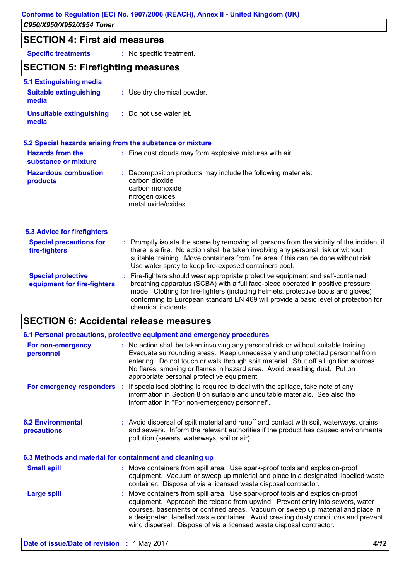|                                                                          | C950/X950/X952/X954 Toner                                                                                                                   |  |  |
|--------------------------------------------------------------------------|---------------------------------------------------------------------------------------------------------------------------------------------|--|--|
| <b>SECTION 4: First aid measures</b>                                     |                                                                                                                                             |  |  |
| <b>Specific treatments</b>                                               | : No specific treatment.                                                                                                                    |  |  |
| <b>SECTION 5: Firefighting measures</b>                                  |                                                                                                                                             |  |  |
| <b>5.1 Extinguishing media</b><br><b>Suitable extinguishing</b><br>media | : Use dry chemical powder.                                                                                                                  |  |  |
| <b>Unsuitable extinguishing</b><br>media                                 | : Do not use water jet.                                                                                                                     |  |  |
|                                                                          | 5.2 Special hazards arising from the substance or mixture                                                                                   |  |  |
| <b>Hazards from the</b><br>substance or mixture                          | : Fine dust clouds may form explosive mixtures with air.                                                                                    |  |  |
| <b>Hazardous combustion</b><br>products                                  | : Decomposition products may include the following materials:<br>carbon dioxide<br>carbon monoxide<br>nitrogen oxides<br>metal oxide/oxides |  |  |

| <b>5.3 Advice for firefighters</b>                       |                                                                                                                                                                                                                                                                                                                                                                       |
|----------------------------------------------------------|-----------------------------------------------------------------------------------------------------------------------------------------------------------------------------------------------------------------------------------------------------------------------------------------------------------------------------------------------------------------------|
| <b>Special precautions for</b><br>fire-fighters          | : Promptly isolate the scene by removing all persons from the vicinity of the incident if<br>there is a fire. No action shall be taken involving any personal risk or without<br>suitable training. Move containers from fire area if this can be done without risk.<br>Use water spray to keep fire-exposed containers cool.                                         |
| <b>Special protective</b><br>equipment for fire-fighters | : Fire-fighters should wear appropriate protective equipment and self-contained<br>breathing apparatus (SCBA) with a full face-piece operated in positive pressure<br>mode. Clothing for fire-fighters (including helmets, protective boots and gloves)<br>conforming to European standard EN 469 will provide a basic level of protection for<br>chemical incidents. |

# **SECTION 6: Accidental release measures**

|                                                                       | 6.1 Personal precautions, protective equipment and emergency procedures                                                                                                                                                                                                                                                                                                                                        |
|-----------------------------------------------------------------------|----------------------------------------------------------------------------------------------------------------------------------------------------------------------------------------------------------------------------------------------------------------------------------------------------------------------------------------------------------------------------------------------------------------|
| For non-emergency<br>personnel                                        | : No action shall be taken involving any personal risk or without suitable training.<br>Evacuate surrounding areas. Keep unnecessary and unprotected personnel from<br>entering. Do not touch or walk through spilt material. Shut off all ignition sources.<br>No flares, smoking or flames in hazard area. Avoid breathing dust. Put on<br>appropriate personal protective equipment.                        |
|                                                                       | For emergency responders : If specialised clothing is required to deal with the spillage, take note of any<br>information in Section 8 on suitable and unsuitable materials. See also the<br>information in "For non-emergency personnel".                                                                                                                                                                     |
| <b>6.2 Environmental</b><br>precautions                               | : Avoid dispersal of spilt material and runoff and contact with soil, waterways, drains<br>and sewers. Inform the relevant authorities if the product has caused environmental<br>pollution (sewers, waterways, soil or air).                                                                                                                                                                                  |
|                                                                       | 6.3 Methods and material for containment and cleaning up                                                                                                                                                                                                                                                                                                                                                       |
| <b>Small spill</b>                                                    | : Move containers from spill area. Use spark-proof tools and explosion-proof<br>equipment. Vacuum or sweep up material and place in a designated, labelled waste<br>container. Dispose of via a licensed waste disposal contractor.                                                                                                                                                                            |
| <b>Large spill</b>                                                    | : Move containers from spill area. Use spark-proof tools and explosion-proof<br>equipment. Approach the release from upwind. Prevent entry into sewers, water<br>courses, basements or confined areas. Vacuum or sweep up material and place in<br>a designated, labelled waste container. Avoid creating dusty conditions and prevent<br>wind dispersal. Dispose of via a licensed waste disposal contractor. |
| $B_1(t) = f(t)$ , $B_2(t) = f(t)$ , $C_1(t) = f(t)$ , $A_1(t) = f(t)$ | 1110                                                                                                                                                                                                                                                                                                                                                                                                           |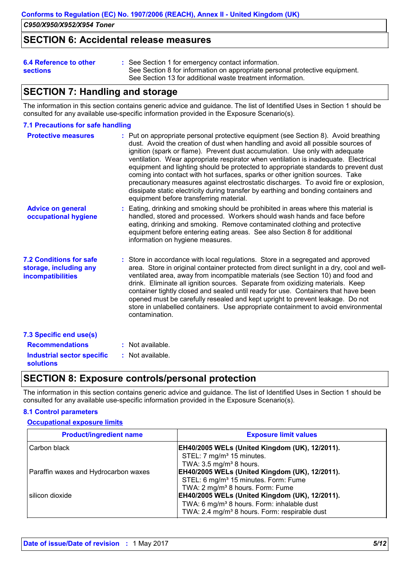### **SECTION 6: Accidental release measures**

| 6.4 Reference to other |  |
|------------------------|--|
| <b>sections</b>        |  |

See Section 1 for emergency contact information. **:** See Section 8 for information on appropriate personal protective equipment. See Section 13 for additional waste treatment information.

# **SECTION 7: Handling and storage**

The information in this section contains generic advice and guidance. The list of Identified Uses in Section 1 should be consulted for any available use-specific information provided in the Exposure Scenario(s).

### **7.1 Precautions for safe handling**

| <b>Protective measures</b>                                                           | : Put on appropriate personal protective equipment (see Section 8). Avoid breathing<br>dust. Avoid the creation of dust when handling and avoid all possible sources of<br>ignition (spark or flame). Prevent dust accumulation. Use only with adequate<br>ventilation. Wear appropriate respirator when ventilation is inadequate. Electrical<br>equipment and lighting should be protected to appropriate standards to prevent dust<br>coming into contact with hot surfaces, sparks or other ignition sources. Take<br>precautionary measures against electrostatic discharges. To avoid fire or explosion,<br>dissipate static electricity during transfer by earthing and bonding containers and<br>equipment before transferring material. |
|--------------------------------------------------------------------------------------|--------------------------------------------------------------------------------------------------------------------------------------------------------------------------------------------------------------------------------------------------------------------------------------------------------------------------------------------------------------------------------------------------------------------------------------------------------------------------------------------------------------------------------------------------------------------------------------------------------------------------------------------------------------------------------------------------------------------------------------------------|
| <b>Advice on general</b><br>occupational hygiene                                     | : Eating, drinking and smoking should be prohibited in areas where this material is<br>handled, stored and processed. Workers should wash hands and face before<br>eating, drinking and smoking. Remove contaminated clothing and protective<br>equipment before entering eating areas. See also Section 8 for additional<br>information on hygiene measures.                                                                                                                                                                                                                                                                                                                                                                                    |
| <b>7.2 Conditions for safe</b><br>storage, including any<br><b>incompatibilities</b> | : Store in accordance with local regulations. Store in a segregated and approved<br>area. Store in original container protected from direct sunlight in a dry, cool and well-<br>ventilated area, away from incompatible materials (see Section 10) and food and<br>drink. Eliminate all ignition sources. Separate from oxidizing materials. Keep<br>container tightly closed and sealed until ready for use. Containers that have been<br>opened must be carefully resealed and kept upright to prevent leakage. Do not<br>store in unlabelled containers. Use appropriate containment to avoid environmental<br>contamination.                                                                                                                |
| 7.3 Specific end use(s)                                                              |                                                                                                                                                                                                                                                                                                                                                                                                                                                                                                                                                                                                                                                                                                                                                  |
| <b>Recommendations</b>                                                               | : Not available.                                                                                                                                                                                                                                                                                                                                                                                                                                                                                                                                                                                                                                                                                                                                 |
| <b>Industrial sector specific</b><br><b>solutions</b>                                | : Not available.                                                                                                                                                                                                                                                                                                                                                                                                                                                                                                                                                                                                                                                                                                                                 |

### **SECTION 8: Exposure controls/personal protection**

The information in this section contains generic advice and guidance. The list of Identified Uses in Section 1 should be consulted for any available use-specific information provided in the Exposure Scenario(s).

### **8.1 Control parameters**

#### **Occupational exposure limits**

| <b>Product/ingredient name</b>       | <b>Exposure limit values</b>                              |
|--------------------------------------|-----------------------------------------------------------|
| Carbon black                         | <b>EH40/2005 WELs (United Kingdom (UK), 12/2011).</b>     |
|                                      | STEL: 7 mg/m <sup>3</sup> 15 minutes.                     |
|                                      | TWA: $3.5 \text{ mg/m}^3$ 8 hours.                        |
| Paraffin waxes and Hydrocarbon waxes | EH40/2005 WELs (United Kingdom (UK), 12/2011).            |
|                                      | STEL: 6 mg/m <sup>3</sup> 15 minutes. Form: Fume          |
|                                      | TWA: 2 mg/m <sup>3</sup> 8 hours. Form: Fume              |
| silicon dioxide                      | EH40/2005 WELs (United Kingdom (UK), 12/2011).            |
|                                      | TWA: 6 mg/m <sup>3</sup> 8 hours. Form: inhalable dust    |
|                                      | TWA: 2.4 mg/m <sup>3</sup> 8 hours. Form: respirable dust |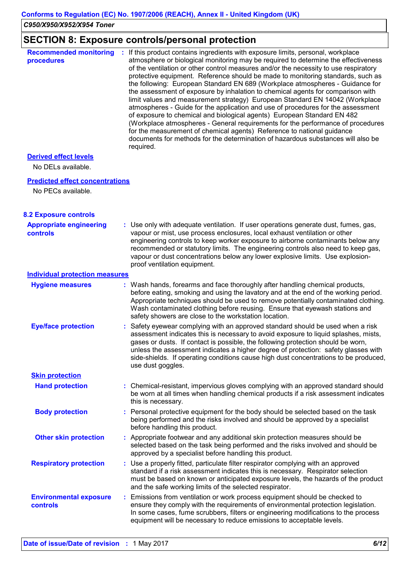# **SECTION 8: Exposure controls/personal protection**

| <b>Recommended monitoring</b><br>procedures | If this product contains ingredients with exposure limits, personal, workplace<br>atmosphere or biological monitoring may be required to determine the effectiveness<br>of the ventilation or other control measures and/or the necessity to use respiratory<br>protective equipment. Reference should be made to monitoring standards, such as<br>the following: European Standard EN 689 (Workplace atmospheres - Guidance for<br>the assessment of exposure by inhalation to chemical agents for comparison with<br>limit values and measurement strategy) European Standard EN 14042 (Workplace<br>atmospheres - Guide for the application and use of procedures for the assessment<br>of exposure to chemical and biological agents) European Standard EN 482<br>(Workplace atmospheres - General requirements for the performance of procedures<br>for the measurement of chemical agents) Reference to national guidance<br>documents for methods for the determination of hazardous substances will also be<br>required. |
|---------------------------------------------|----------------------------------------------------------------------------------------------------------------------------------------------------------------------------------------------------------------------------------------------------------------------------------------------------------------------------------------------------------------------------------------------------------------------------------------------------------------------------------------------------------------------------------------------------------------------------------------------------------------------------------------------------------------------------------------------------------------------------------------------------------------------------------------------------------------------------------------------------------------------------------------------------------------------------------------------------------------------------------------------------------------------------------|
| <b>Derived effect levels</b>                |                                                                                                                                                                                                                                                                                                                                                                                                                                                                                                                                                                                                                                                                                                                                                                                                                                                                                                                                                                                                                                  |

No DELs available.

#### **Predicted effect concentrations**

No PECs available.

### **8.2 Exposure controls**

| <b>Appropriate engineering</b><br><b>controls</b> | : Use only with adequate ventilation. If user operations generate dust, fumes, gas,<br>vapour or mist, use process enclosures, local exhaust ventilation or other<br>engineering controls to keep worker exposure to airborne contaminants below any<br>recommended or statutory limits. The engineering controls also need to keep gas,<br>vapour or dust concentrations below any lower explosive limits. Use explosion-<br>proof ventilation equipment.  |  |
|---------------------------------------------------|-------------------------------------------------------------------------------------------------------------------------------------------------------------------------------------------------------------------------------------------------------------------------------------------------------------------------------------------------------------------------------------------------------------------------------------------------------------|--|
| <b>Individual protection measures</b>             |                                                                                                                                                                                                                                                                                                                                                                                                                                                             |  |
| <b>Hygiene measures</b>                           | : Wash hands, forearms and face thoroughly after handling chemical products,<br>before eating, smoking and using the lavatory and at the end of the working period.<br>Appropriate techniques should be used to remove potentially contaminated clothing.<br>Wash contaminated clothing before reusing. Ensure that eyewash stations and<br>safety showers are close to the workstation location.                                                           |  |
| <b>Eye/face protection</b>                        | Safety eyewear complying with an approved standard should be used when a risk<br>assessment indicates this is necessary to avoid exposure to liquid splashes, mists,<br>gases or dusts. If contact is possible, the following protection should be worn,<br>unless the assessment indicates a higher degree of protection: safety glasses with<br>side-shields. If operating conditions cause high dust concentrations to be produced,<br>use dust goggles. |  |
| <b>Skin protection</b>                            |                                                                                                                                                                                                                                                                                                                                                                                                                                                             |  |
| <b>Hand protection</b>                            | : Chemical-resistant, impervious gloves complying with an approved standard should<br>be worn at all times when handling chemical products if a risk assessment indicates<br>this is necessary.                                                                                                                                                                                                                                                             |  |
| <b>Body protection</b>                            | Personal protective equipment for the body should be selected based on the task<br>being performed and the risks involved and should be approved by a specialist<br>before handling this product.                                                                                                                                                                                                                                                           |  |
| <b>Other skin protection</b>                      | : Appropriate footwear and any additional skin protection measures should be<br>selected based on the task being performed and the risks involved and should be<br>approved by a specialist before handling this product.                                                                                                                                                                                                                                   |  |
| <b>Respiratory protection</b>                     | : Use a properly fitted, particulate filter respirator complying with an approved<br>standard if a risk assessment indicates this is necessary. Respirator selection<br>must be based on known or anticipated exposure levels, the hazards of the product<br>and the safe working limits of the selected respirator.                                                                                                                                        |  |
| <b>Environmental exposure</b><br>controls         | Emissions from ventilation or work process equipment should be checked to<br>t.<br>ensure they comply with the requirements of environmental protection legislation.<br>In some cases, fume scrubbers, filters or engineering modifications to the process<br>equipment will be necessary to reduce emissions to acceptable levels.                                                                                                                         |  |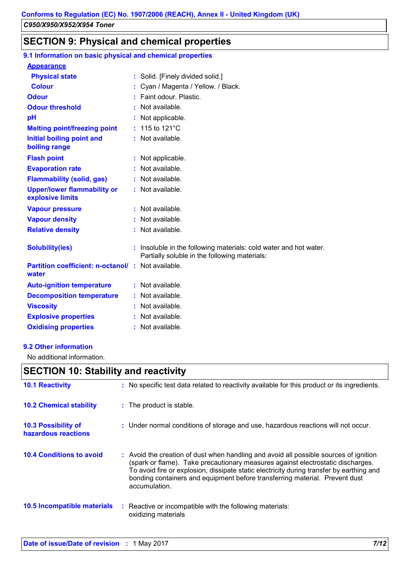# **SECTION 9: Physical and chemical properties**

#### **:** Not available. **Physical state Melting point/freezing point Initial boiling point and boiling range Vapour pressure Relative density Vapour density Solubility(ies) :** Solid. [Finely divided solid.] 115 to 121°C **: :** Not available. **:** Not available. **:** Not available. **:** Insoluble in the following materials: cold water and hot water. Partially soluble in the following materials: **Odour** Faint odour. Plastic. **pH Colour Colour Cyan / Magenta / Yellow. / Black. Evaporation rate Auto-ignition temperature Flash point :** Not available. **:** Not applicable. **:** Not available. **:** Not available. **Partition coefficient: n-octanol/ :** Not available. **:** Not applicable. **Viscosity Constitution Constitution Constitution Constitution Constitution Constitution Constitution Constitution Constitution Constitution Constitution Constitution Constitution Constitution Constitution Constitution C Odour threshold water Upper/lower flammability or explosive limits Explosive properties :** Not available. : Not available. **Oxidising properties :** Not available. **9.1 Information on basic physical and chemical properties Appearance Decomposition temperature :** Not available. **Flammability (solid, gas) :** Not available.

### **9.2 Other information**

No additional information.

### **SECTION 10: Stability and reactivity**

| <b>10.1 Reactivity</b>                     | : No specific test data related to reactivity available for this product or its ingredients.                                                                                                                                                                                                                                                                         |
|--------------------------------------------|----------------------------------------------------------------------------------------------------------------------------------------------------------------------------------------------------------------------------------------------------------------------------------------------------------------------------------------------------------------------|
| <b>10.2 Chemical stability</b>             | : The product is stable.                                                                                                                                                                                                                                                                                                                                             |
| 10.3 Possibility of<br>hazardous reactions | : Under normal conditions of storage and use, hazardous reactions will not occur.                                                                                                                                                                                                                                                                                    |
| <b>10.4 Conditions to avoid</b>            | : Avoid the creation of dust when handling and avoid all possible sources of ignition<br>(spark or flame). Take precautionary measures against electrostatic discharges.<br>To avoid fire or explosion, dissipate static electricity during transfer by earthing and<br>bonding containers and equipment before transferring material. Prevent dust<br>accumulation. |
| <b>10.5 Incompatible materials</b>         | : Reactive or incompatible with the following materials:<br>oxidizing materials                                                                                                                                                                                                                                                                                      |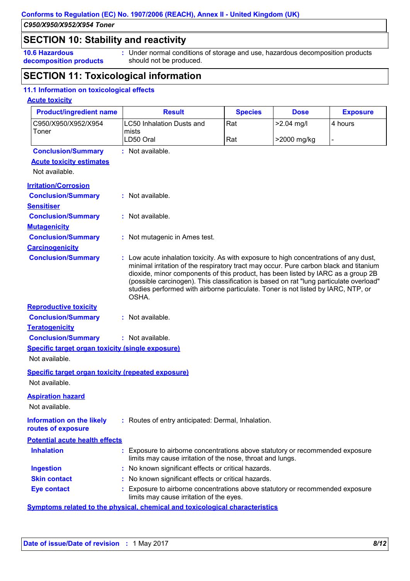*C950/X950/X952/X954 Toner*

### **SECTION 10: Stability and reactivity**

**10.6 Hazardous decomposition products** **:** Under normal conditions of storage and use, hazardous decomposition products should not be produced.

# **SECTION 11: Toxicological information**

### **11.1 Information on toxicological effects**

### **Acute toxicity**

| <b>Product/ingredient name</b>                            | <b>Result</b>                                                                                                                                                                                                                                                                                                                                                                                                                                              | <b>Species</b> | <b>Dose</b>  | <b>Exposure</b> |
|-----------------------------------------------------------|------------------------------------------------------------------------------------------------------------------------------------------------------------------------------------------------------------------------------------------------------------------------------------------------------------------------------------------------------------------------------------------------------------------------------------------------------------|----------------|--------------|-----------------|
| C950/X950/X952/X954                                       | <b>LC50 Inhalation Dusts and</b>                                                                                                                                                                                                                                                                                                                                                                                                                           | Rat            | $>2.04$ mg/l | 4 hours         |
| Toner                                                     | mists<br>LD50 Oral                                                                                                                                                                                                                                                                                                                                                                                                                                         | Rat            | >2000 mg/kg  |                 |
|                                                           |                                                                                                                                                                                                                                                                                                                                                                                                                                                            |                |              |                 |
| <b>Conclusion/Summary</b>                                 | : Not available.                                                                                                                                                                                                                                                                                                                                                                                                                                           |                |              |                 |
| <b>Acute toxicity estimates</b>                           |                                                                                                                                                                                                                                                                                                                                                                                                                                                            |                |              |                 |
| Not available.                                            |                                                                                                                                                                                                                                                                                                                                                                                                                                                            |                |              |                 |
| <b>Irritation/Corrosion</b>                               |                                                                                                                                                                                                                                                                                                                                                                                                                                                            |                |              |                 |
| <b>Conclusion/Summary</b>                                 | : Not available.                                                                                                                                                                                                                                                                                                                                                                                                                                           |                |              |                 |
| <b>Sensitiser</b>                                         |                                                                                                                                                                                                                                                                                                                                                                                                                                                            |                |              |                 |
| <b>Conclusion/Summary</b>                                 | : Not available.                                                                                                                                                                                                                                                                                                                                                                                                                                           |                |              |                 |
| <b>Mutagenicity</b>                                       |                                                                                                                                                                                                                                                                                                                                                                                                                                                            |                |              |                 |
| <b>Conclusion/Summary</b>                                 | : Not mutagenic in Ames test.                                                                                                                                                                                                                                                                                                                                                                                                                              |                |              |                 |
| <b>Carcinogenicity</b>                                    |                                                                                                                                                                                                                                                                                                                                                                                                                                                            |                |              |                 |
| <b>Conclusion/Summary</b>                                 | : Low acute inhalation toxicity. As with exposure to high concentrations of any dust,<br>minimal irritation of the respiratory tract may occur. Pure carbon black and titanium<br>dioxide, minor components of this product, has been listed by IARC as a group 2B<br>(possible carcinogen). This classification is based on rat "lung particulate overload"<br>studies performed with airborne particulate. Toner is not listed by IARC, NTP, or<br>OSHA. |                |              |                 |
| <b>Reproductive toxicity</b>                              |                                                                                                                                                                                                                                                                                                                                                                                                                                                            |                |              |                 |
| <b>Conclusion/Summary</b>                                 | : Not available.                                                                                                                                                                                                                                                                                                                                                                                                                                           |                |              |                 |
| <b>Teratogenicity</b>                                     |                                                                                                                                                                                                                                                                                                                                                                                                                                                            |                |              |                 |
| <b>Conclusion/Summary</b>                                 | : Not available.                                                                                                                                                                                                                                                                                                                                                                                                                                           |                |              |                 |
| Specific target organ toxicity (single exposure)          |                                                                                                                                                                                                                                                                                                                                                                                                                                                            |                |              |                 |
| Not available.                                            |                                                                                                                                                                                                                                                                                                                                                                                                                                                            |                |              |                 |
| <b>Specific target organ toxicity (repeated exposure)</b> |                                                                                                                                                                                                                                                                                                                                                                                                                                                            |                |              |                 |
| Not available.                                            |                                                                                                                                                                                                                                                                                                                                                                                                                                                            |                |              |                 |
| <b>Aspiration hazard</b><br>Not available.                |                                                                                                                                                                                                                                                                                                                                                                                                                                                            |                |              |                 |
| <b>Information on the likely</b><br>routes of exposure    | : Routes of entry anticipated: Dermal, Inhalation.                                                                                                                                                                                                                                                                                                                                                                                                         |                |              |                 |
| <b>Potential acute health effects</b>                     |                                                                                                                                                                                                                                                                                                                                                                                                                                                            |                |              |                 |
| <b>Inhalation</b>                                         | : Exposure to airborne concentrations above statutory or recommended exposure<br>limits may cause irritation of the nose, throat and lungs.                                                                                                                                                                                                                                                                                                                |                |              |                 |
| <b>Ingestion</b>                                          | : No known significant effects or critical hazards.                                                                                                                                                                                                                                                                                                                                                                                                        |                |              |                 |
| <b>Skin contact</b>                                       | : No known significant effects or critical hazards.                                                                                                                                                                                                                                                                                                                                                                                                        |                |              |                 |
| <b>Eye contact</b>                                        | : Exposure to airborne concentrations above statutory or recommended exposure<br>limits may cause irritation of the eyes.                                                                                                                                                                                                                                                                                                                                  |                |              |                 |
|                                                           | <b>Symptoms related to the physical, chemical and toxicological characteristics</b>                                                                                                                                                                                                                                                                                                                                                                        |                |              |                 |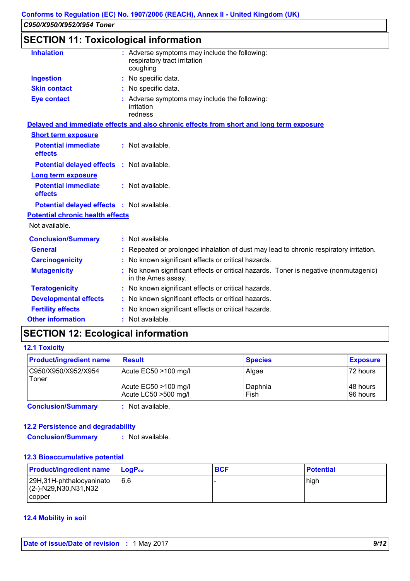# **SECTION 11: Toxicological information**

| <b>Inhalation</b>                                 | : Adverse symptoms may include the following:<br>respiratory tract irritation<br>coughing                  |
|---------------------------------------------------|------------------------------------------------------------------------------------------------------------|
| <b>Ingestion</b>                                  | : No specific data.                                                                                        |
| <b>Skin contact</b>                               | : No specific data.                                                                                        |
| <b>Eye contact</b>                                | : Adverse symptoms may include the following:<br>irritation<br>redness                                     |
|                                                   | Delayed and immediate effects and also chronic effects from short and long term exposure                   |
| <b>Short term exposure</b>                        |                                                                                                            |
| <b>Potential immediate</b><br>effects             | : Not available.                                                                                           |
| Potential delayed effects : Not available.        |                                                                                                            |
| <b>Long term exposure</b>                         |                                                                                                            |
| <b>Potential immediate</b><br>effects             | : Not available.                                                                                           |
| <b>Potential delayed effects : Not available.</b> |                                                                                                            |
| <b>Potential chronic health effects</b>           |                                                                                                            |
| Not available.                                    |                                                                                                            |
| <b>Conclusion/Summary</b>                         | : Not available.                                                                                           |
| <b>General</b>                                    | : Repeated or prolonged inhalation of dust may lead to chronic respiratory irritation.                     |
| <b>Carcinogenicity</b>                            | : No known significant effects or critical hazards.                                                        |
| <b>Mutagenicity</b>                               | : No known significant effects or critical hazards. Toner is negative (nonmutagenic)<br>in the Ames assay. |
| <b>Teratogenicity</b>                             | : No known significant effects or critical hazards.                                                        |
| <b>Developmental effects</b>                      | : No known significant effects or critical hazards.                                                        |
| <b>Fertility effects</b>                          | No known significant effects or critical hazards.                                                          |
| <b>Other information</b>                          | : Not available.                                                                                           |

# **SECTION 12: Ecological information**

#### **12.1 Toxicity**

| <b>Product/ingredient name</b> | <b>Result</b>                                | <b>Species</b>  | <b>Exposure</b>        |
|--------------------------------|----------------------------------------------|-----------------|------------------------|
| C950/X950/X952/X954<br>Toner   | Acute EC50 >100 mg/l                         | Algae           | 172 hours              |
|                                | Acute EC50 >100 mg/l<br>Acute LC50 >500 mg/l | Daphnia<br>Fish | 148 hours<br>196 hours |

**Conclusion/Summary :** Not available.

### **12.2 Persistence and degradability**

**Conclusion/Summary :** Not available.

#### **12.3 Bioaccumulative potential**

| <b>Product/ingredient name</b>                        | $\mathsf{LocP}_\mathsf{ow}$ | <b>BCF</b> | <b>Potential</b> |
|-------------------------------------------------------|-----------------------------|------------|------------------|
| 29H,31H-phthalocyaninato<br>$(C-)-N29, N30, N31, N32$ | 16.6                        |            | high             |
| copper                                                |                             |            |                  |

### **12.4 Mobility in soil**

**Date of issue/Date of revision :** 1 May 2017 *9/12*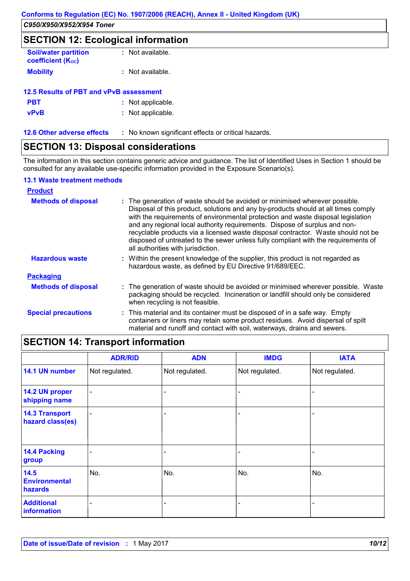# **SECTION 12: Ecological information**

| <b>Soil/water partition</b><br><b>coefficient (Koc)</b> | : Not available. |
|---------------------------------------------------------|------------------|
| <b>Mobility</b>                                         | : Not available. |

| 12.5 Results of PBT and vPvB assessment |                   |
|-----------------------------------------|-------------------|
| <b>PBT</b>                              | : Not applicable. |
| <b>vPvB</b>                             | : Not applicable. |

**12.6 Other adverse effects** : No known significant effects or critical hazards.

### **SECTION 13: Disposal considerations**

The information in this section contains generic advice and guidance. The list of Identified Uses in Section 1 should be consulted for any available use-specific information provided in the Exposure Scenario(s).

### **13.1 Waste treatment methods**

| <b>Product</b>             |                                                                                                                                                                                                                                                                                                                                                                                                                                                                                                                                                      |
|----------------------------|------------------------------------------------------------------------------------------------------------------------------------------------------------------------------------------------------------------------------------------------------------------------------------------------------------------------------------------------------------------------------------------------------------------------------------------------------------------------------------------------------------------------------------------------------|
| <b>Methods of disposal</b> | : The generation of waste should be avoided or minimised wherever possible.<br>Disposal of this product, solutions and any by-products should at all times comply<br>with the requirements of environmental protection and waste disposal legislation<br>and any regional local authority requirements. Dispose of surplus and non-<br>recyclable products via a licensed waste disposal contractor. Waste should not be<br>disposed of untreated to the sewer unless fully compliant with the requirements of<br>all authorities with jurisdiction. |
| <b>Hazardous waste</b>     | : Within the present knowledge of the supplier, this product is not regarded as<br>hazardous waste, as defined by EU Directive 91/689/EEC.                                                                                                                                                                                                                                                                                                                                                                                                           |
| <b>Packaging</b>           |                                                                                                                                                                                                                                                                                                                                                                                                                                                                                                                                                      |
| <b>Methods of disposal</b> | : The generation of waste should be avoided or minimised wherever possible. Waste<br>packaging should be recycled. Incineration or landfill should only be considered<br>when recycling is not feasible.                                                                                                                                                                                                                                                                                                                                             |
| <b>Special precautions</b> | : This material and its container must be disposed of in a safe way. Empty<br>containers or liners may retain some product residues. Avoid dispersal of spilt<br>material and runoff and contact with soil, waterways, drains and sewers.                                                                                                                                                                                                                                                                                                            |

# **SECTION 14: Transport information**

|                                           | <b>ADR/RID</b> | <b>ADN</b>     | <b>IMDG</b>              | <b>IATA</b>    |
|-------------------------------------------|----------------|----------------|--------------------------|----------------|
| 14.1 UN number                            | Not regulated. | Not regulated. | Not regulated.           | Not regulated. |
| 14.2 UN proper<br>shipping name           |                |                |                          |                |
| <b>14.3 Transport</b><br>hazard class(es) |                |                | $\overline{\phantom{0}}$ |                |
| 14.4 Packing<br>group                     |                |                |                          |                |
| 14.5<br><b>Environmental</b><br>hazards   | No.            | No.            | No.                      | No.            |
| <b>Additional</b><br>information          |                |                |                          |                |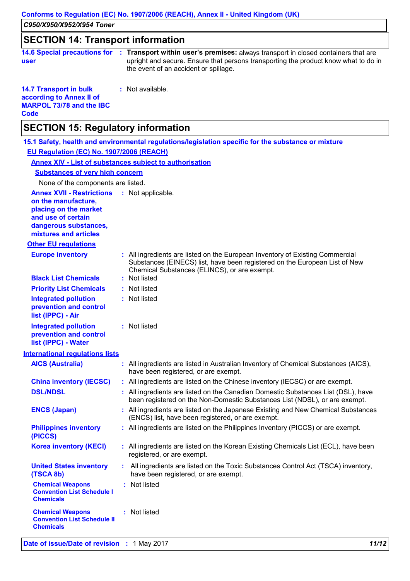# **SECTION 14: Transport information**

|      | 14.6 Special precautions for : Transport within user's premises: always transport in closed containers that are |
|------|-----------------------------------------------------------------------------------------------------------------|
| user | upright and secure. Ensure that persons transporting the product know what to do in                             |
|      | the event of an accident or spillage.                                                                           |

**14.7 Transport in bulk according to Annex II of MARPOL 73/78 and the IBC Code :** Not available.

# **SECTION 15: Regulatory information**

|                                                                                                        | 15.1 Safety, health and environmental regulations/legislation specific for the substance or mixture                                                                                                         |
|--------------------------------------------------------------------------------------------------------|-------------------------------------------------------------------------------------------------------------------------------------------------------------------------------------------------------------|
| EU Regulation (EC) No. 1907/2006 (REACH)                                                               |                                                                                                                                                                                                             |
|                                                                                                        | <b>Annex XIV - List of substances subject to authorisation</b>                                                                                                                                              |
| <b>Substances of very high concern</b>                                                                 |                                                                                                                                                                                                             |
| None of the components are listed.                                                                     |                                                                                                                                                                                                             |
| <b>Annex XVII - Restrictions</b><br>on the manufacture,<br>placing on the market<br>and use of certain | : Not applicable.                                                                                                                                                                                           |
| dangerous substances,<br>mixtures and articles                                                         |                                                                                                                                                                                                             |
| <b>Other EU regulations</b>                                                                            |                                                                                                                                                                                                             |
| <b>Europe inventory</b>                                                                                | : All ingredients are listed on the European Inventory of Existing Commercial<br>Substances (EINECS) list, have been registered on the European List of New<br>Chemical Substances (ELINCS), or are exempt. |
| <b>Black List Chemicals</b>                                                                            | : Not listed                                                                                                                                                                                                |
| <b>Priority List Chemicals</b>                                                                         | : Not listed                                                                                                                                                                                                |
| <b>Integrated pollution</b><br>prevention and control<br>list (IPPC) - Air                             | : Not listed                                                                                                                                                                                                |
| <b>Integrated pollution</b><br>prevention and control<br>list (IPPC) - Water                           | : Not listed                                                                                                                                                                                                |
| <b>International regulations lists</b>                                                                 |                                                                                                                                                                                                             |
| <b>AICS (Australia)</b>                                                                                | : All ingredients are listed in Australian Inventory of Chemical Substances (AICS),<br>have been registered, or are exempt.                                                                                 |
| <b>China inventory (IECSC)</b>                                                                         | : All ingredients are listed on the Chinese inventory (IECSC) or are exempt.                                                                                                                                |
| <b>DSL/NDSL</b>                                                                                        | : All ingredients are listed on the Canadian Domestic Substances List (DSL), have<br>been registered on the Non-Domestic Substances List (NDSL), or are exempt.                                             |
| <b>ENCS (Japan)</b>                                                                                    | : All ingredients are listed on the Japanese Existing and New Chemical Substances<br>(ENCS) list, have been registered, or are exempt.                                                                      |
| <b>Philippines inventory</b><br>(PICCS)                                                                | : All ingredients are listed on the Philippines Inventory (PICCS) or are exempt.                                                                                                                            |
| <b>Korea inventory (KECI)</b>                                                                          | : All ingredients are listed on the Korean Existing Chemicals List (ECL), have been<br>registered, or are exempt.                                                                                           |
| <b>United States inventory</b><br>(TSCA 8b)                                                            | All ingredients are listed on the Toxic Substances Control Act (TSCA) inventory,<br>have been registered, or are exempt.                                                                                    |
| <b>Chemical Weapons</b><br><b>Convention List Schedule I</b><br><b>Chemicals</b>                       | : Not listed                                                                                                                                                                                                |
| <b>Chemical Weapons</b><br><b>Convention List Schedule II</b><br><b>Chemicals</b>                      | : Not listed                                                                                                                                                                                                |
| Date of issue/Date of revision : 1 May 2017                                                            | 11/12                                                                                                                                                                                                       |